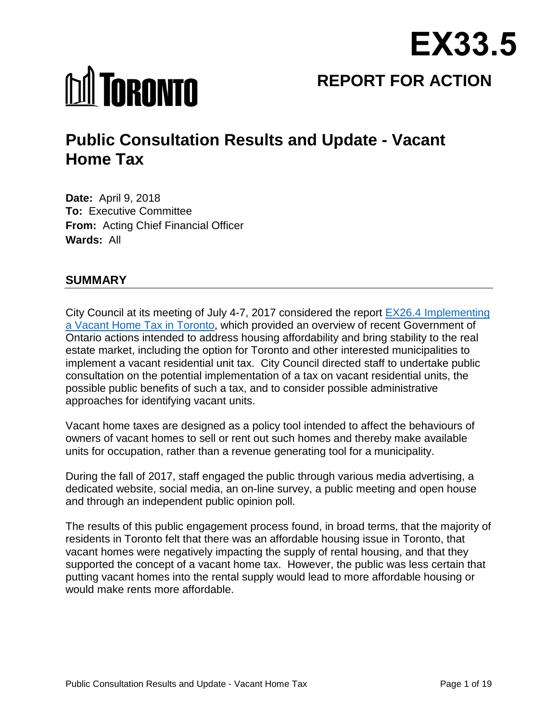

# **MI TORONTO**

**REPORT FOR ACTION**

# **Public Consultation Results and Update - Vacant Home Tax**

**Date:** April 9, 2018 **To:** Executive Committee **From:** Acting Chief Financial Officer **Wards:** All

# **SUMMARY**

City Council at its meeting of July 4-7, 2017 considered the report [EX26.4 Implementing](http://app.toronto.ca/tmmis/viewAgendaItemHistory.do?item=2017.EX26.4)  [a Vacant Home Tax in Toronto,](http://app.toronto.ca/tmmis/viewAgendaItemHistory.do?item=2017.EX26.4) which provided an overview of recent Government of Ontario actions intended to address housing affordability and bring stability to the real estate market, including the option for Toronto and other interested municipalities to implement a vacant residential unit tax. City Council directed staff to undertake public consultation on the potential implementation of a tax on vacant residential units, the possible public benefits of such a tax, and to consider possible administrative approaches for identifying vacant units.

Vacant home taxes are designed as a policy tool intended to affect the behaviours of owners of vacant homes to sell or rent out such homes and thereby make available units for occupation, rather than a revenue generating tool for a municipality.

During the fall of 2017, staff engaged the public through various media advertising, a dedicated website, social media, an on-line survey, a public meeting and open house and through an independent public opinion poll.

The results of this public engagement process found, in broad terms, that the majority of residents in Toronto felt that there was an affordable housing issue in Toronto, that vacant homes were negatively impacting the supply of rental housing, and that they supported the concept of a vacant home tax. However, the public was less certain that putting vacant homes into the rental supply would lead to more affordable housing or would make rents more affordable.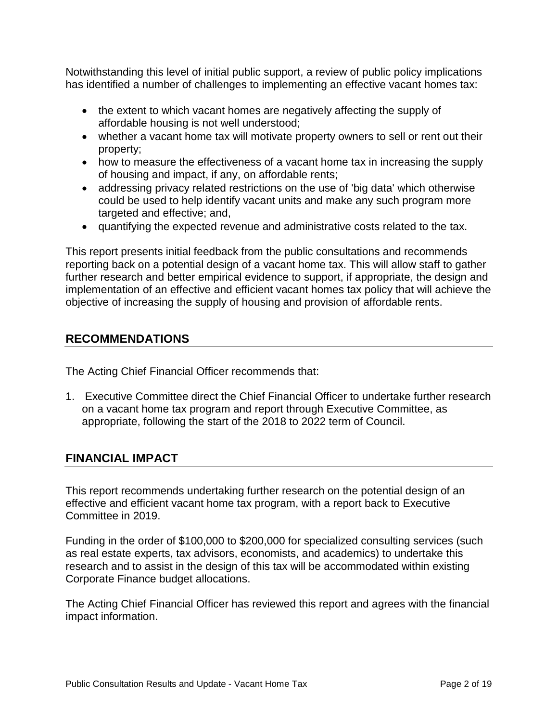Notwithstanding this level of initial public support, a review of public policy implications has identified a number of challenges to implementing an effective vacant homes tax:

- the extent to which vacant homes are negatively affecting the supply of affordable housing is not well understood;
- whether a vacant home tax will motivate property owners to sell or rent out their property;
- how to measure the effectiveness of a vacant home tax in increasing the supply of housing and impact, if any, on affordable rents;
- addressing privacy related restrictions on the use of 'big data' which otherwise could be used to help identify vacant units and make any such program more targeted and effective; and,
- quantifying the expected revenue and administrative costs related to the tax.

This report presents initial feedback from the public consultations and recommends reporting back on a potential design of a vacant home tax. This will allow staff to gather further research and better empirical evidence to support, if appropriate, the design and implementation of an effective and efficient vacant homes tax policy that will achieve the objective of increasing the supply of housing and provision of affordable rents.

# **RECOMMENDATIONS**

The Acting Chief Financial Officer recommends that:

1. Executive Committee direct the Chief Financial Officer to undertake further research on a vacant home tax program and report through Executive Committee, as appropriate, following the start of the 2018 to 2022 term of Council.

# **FINANCIAL IMPACT**

This report recommends undertaking further research on the potential design of an effective and efficient vacant home tax program, with a report back to Executive Committee in 2019.

Funding in the order of \$100,000 to \$200,000 for specialized consulting services (such as real estate experts, tax advisors, economists, and academics) to undertake this research and to assist in the design of this tax will be accommodated within existing Corporate Finance budget allocations.

The Acting Chief Financial Officer has reviewed this report and agrees with the financial impact information.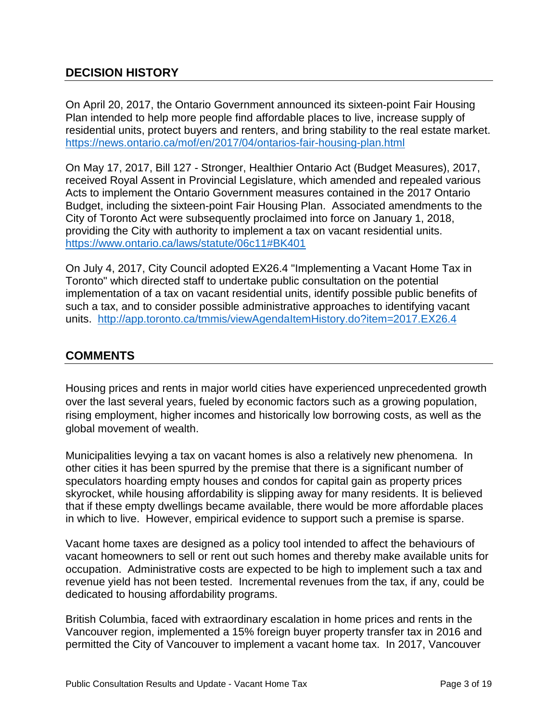# **DECISION HISTORY**

On April 20, 2017, the Ontario Government announced its sixteen-point Fair Housing Plan intended to help more people find affordable places to live, increase supply of residential units, protect buyers and renters, and bring stability to the real estate market. <https://news.ontario.ca/mof/en/2017/04/ontarios-fair-housing-plan.html>

On May 17, 2017, Bill 127 - Stronger, Healthier Ontario Act (Budget Measures), 2017, received Royal Assent in Provincial Legislature, which amended and repealed various Acts to implement the Ontario Government measures contained in the 2017 Ontario Budget, including the sixteen-point Fair Housing Plan. Associated amendments to the City of Toronto Act were subsequently proclaimed into force on January 1, 2018, providing the City with authority to implement a tax on vacant residential units. <https://www.ontario.ca/laws/statute/06c11#BK401>

On July 4, 2017, City Council adopted EX26.4 "Implementing a Vacant Home Tax in Toronto" which directed staff to undertake public consultation on the potential implementation of a tax on vacant residential units, identify possible public benefits of such a tax, and to consider possible administrative approaches to identifying vacant units. <http://app.toronto.ca/tmmis/viewAgendaItemHistory.do?item=2017.EX26.4>

# **COMMENTS**

Housing prices and rents in major world cities have experienced unprecedented growth over the last several years, fueled by economic factors such as a growing population, rising employment, higher incomes and historically low borrowing costs, as well as the global movement of wealth.

Municipalities levying a tax on vacant homes is also a relatively new phenomena. In other cities it has been spurred by the premise that there is a significant number of speculators hoarding empty houses and condos for capital gain as property prices skyrocket, while housing affordability is slipping away for many residents. It is believed that if these empty dwellings became available, there would be more affordable places in which to live. However, empirical evidence to support such a premise is sparse.

Vacant home taxes are designed as a policy tool intended to affect the behaviours of vacant homeowners to sell or rent out such homes and thereby make available units for occupation. Administrative costs are expected to be high to implement such a tax and revenue yield has not been tested. Incremental revenues from the tax, if any, could be dedicated to housing affordability programs.

British Columbia, faced with extraordinary escalation in home prices and rents in the Vancouver region, implemented a 15% foreign buyer property transfer tax in 2016 and permitted the City of Vancouver to implement a vacant home tax. In 2017, Vancouver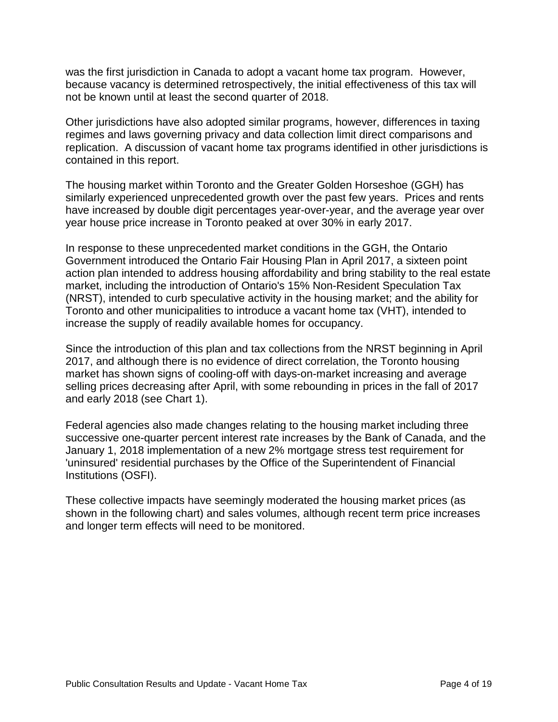was the first jurisdiction in Canada to adopt a vacant home tax program. However, because vacancy is determined retrospectively, the initial effectiveness of this tax will not be known until at least the second quarter of 2018.

Other jurisdictions have also adopted similar programs, however, differences in taxing regimes and laws governing privacy and data collection limit direct comparisons and replication. A discussion of vacant home tax programs identified in other jurisdictions is contained in this report.

The housing market within Toronto and the Greater Golden Horseshoe (GGH) has similarly experienced unprecedented growth over the past few years. Prices and rents have increased by double digit percentages year-over-year, and the average year over year house price increase in Toronto peaked at over 30% in early 2017.

In response to these unprecedented market conditions in the GGH, the Ontario Government introduced the Ontario Fair Housing Plan in April 2017, a sixteen point action plan intended to address housing affordability and bring stability to the real estate market, including the introduction of Ontario's 15% Non-Resident Speculation Tax (NRST), intended to curb speculative activity in the housing market; and the ability for Toronto and other municipalities to introduce a vacant home tax (VHT), intended to increase the supply of readily available homes for occupancy.

Since the introduction of this plan and tax collections from the NRST beginning in April 2017, and although there is no evidence of direct correlation, the Toronto housing market has shown signs of cooling-off with days-on-market increasing and average selling prices decreasing after April, with some rebounding in prices in the fall of 2017 and early 2018 (see Chart 1).

Federal agencies also made changes relating to the housing market including three successive one-quarter percent interest rate increases by the Bank of Canada, and the January 1, 2018 implementation of a new 2% mortgage stress test requirement for 'uninsured' residential purchases by the Office of the Superintendent of Financial Institutions (OSFI).

These collective impacts have seemingly moderated the housing market prices (as shown in the following chart) and sales volumes, although recent term price increases and longer term effects will need to be monitored.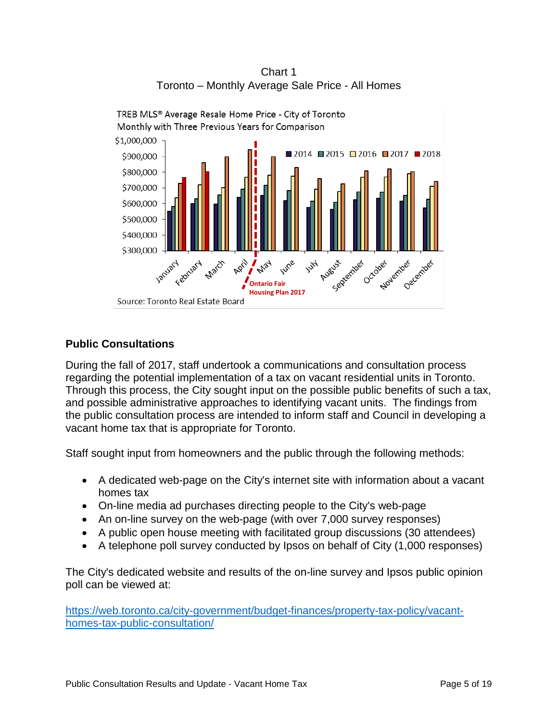

Chart 1 Toronto – Monthly Average Sale Price - All Homes

# **Public Consultations**

During the fall of 2017, staff undertook a communications and consultation process regarding the potential implementation of a tax on vacant residential units in Toronto. Through this process, the City sought input on the possible public benefits of such a tax, and possible administrative approaches to identifying vacant units. The findings from the public consultation process are intended to inform staff and Council in developing a vacant home tax that is appropriate for Toronto.

Staff sought input from homeowners and the public through the following methods:

- A dedicated web-page on the City's internet site with information about a vacant homes tax
- On-line media ad purchases directing people to the City's web-page
- An on-line survey on the web-page (with over 7,000 survey responses)
- A public open house meeting with facilitated group discussions (30 attendees)
- A telephone poll survey conducted by Ipsos on behalf of City (1,000 responses)

The City's dedicated website and results of the on-line survey and Ipsos public opinion poll can be viewed at:

[https://web.toronto.ca/city-government/budget-finances/property-tax-policy/vacant](https://web.toronto.ca/city-government/budget-finances/property-tax-policy/vacant-homes-tax-public-consultation/)[homes-tax-public-consultation/](https://web.toronto.ca/city-government/budget-finances/property-tax-policy/vacant-homes-tax-public-consultation/)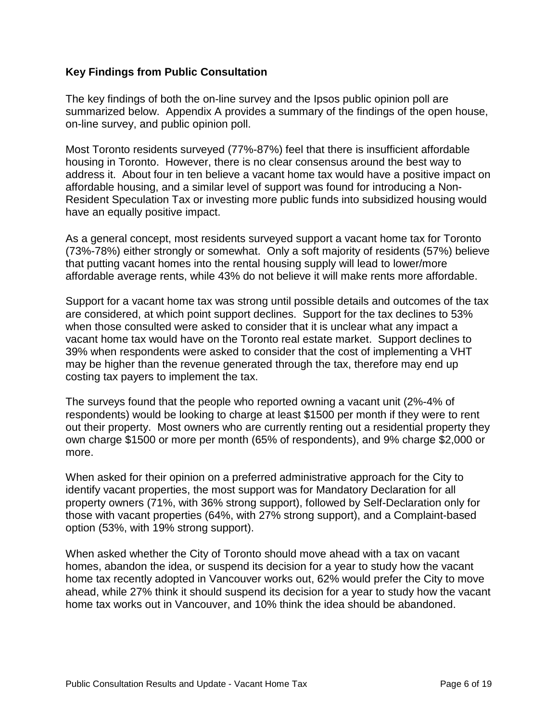#### **Key Findings from Public Consultation**

The key findings of both the on-line survey and the Ipsos public opinion poll are summarized below. Appendix A provides a summary of the findings of the open house, on-line survey, and public opinion poll.

Most Toronto residents surveyed (77%-87%) feel that there is insufficient affordable housing in Toronto. However, there is no clear consensus around the best way to address it. About four in ten believe a vacant home tax would have a positive impact on affordable housing, and a similar level of support was found for introducing a Non-Resident Speculation Tax or investing more public funds into subsidized housing would have an equally positive impact.

As a general concept, most residents surveyed support a vacant home tax for Toronto (73%-78%) either strongly or somewhat. Only a soft majority of residents (57%) believe that putting vacant homes into the rental housing supply will lead to lower/more affordable average rents, while 43% do not believe it will make rents more affordable.

Support for a vacant home tax was strong until possible details and outcomes of the tax are considered, at which point support declines. Support for the tax declines to 53% when those consulted were asked to consider that it is unclear what any impact a vacant home tax would have on the Toronto real estate market. Support declines to 39% when respondents were asked to consider that the cost of implementing a VHT may be higher than the revenue generated through the tax, therefore may end up costing tax payers to implement the tax.

The surveys found that the people who reported owning a vacant unit (2%-4% of respondents) would be looking to charge at least \$1500 per month if they were to rent out their property. Most owners who are currently renting out a residential property they own charge \$1500 or more per month (65% of respondents), and 9% charge \$2,000 or more.

When asked for their opinion on a preferred administrative approach for the City to identify vacant properties, the most support was for Mandatory Declaration for all property owners (71%, with 36% strong support), followed by Self-Declaration only for those with vacant properties (64%, with 27% strong support), and a Complaint-based option (53%, with 19% strong support).

When asked whether the City of Toronto should move ahead with a tax on vacant homes, abandon the idea, or suspend its decision for a year to study how the vacant home tax recently adopted in Vancouver works out, 62% would prefer the City to move ahead, while 27% think it should suspend its decision for a year to study how the vacant home tax works out in Vancouver, and 10% think the idea should be abandoned.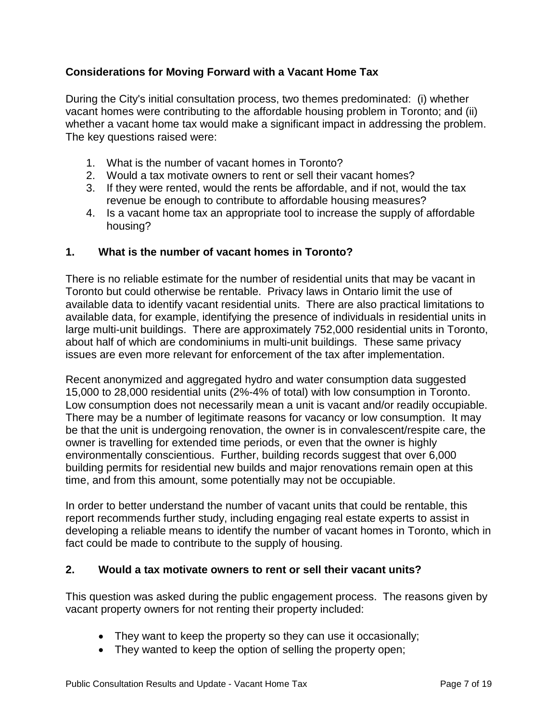# **Considerations for Moving Forward with a Vacant Home Tax**

During the City's initial consultation process, two themes predominated: (i) whether vacant homes were contributing to the affordable housing problem in Toronto; and (ii) whether a vacant home tax would make a significant impact in addressing the problem. The key questions raised were:

- 1. What is the number of vacant homes in Toronto?
- 2. Would a tax motivate owners to rent or sell their vacant homes?
- 3. If they were rented, would the rents be affordable, and if not, would the tax revenue be enough to contribute to affordable housing measures?
- 4. Is a vacant home tax an appropriate tool to increase the supply of affordable housing?

# **1. What is the number of vacant homes in Toronto?**

There is no reliable estimate for the number of residential units that may be vacant in Toronto but could otherwise be rentable. Privacy laws in Ontario limit the use of available data to identify vacant residential units. There are also practical limitations to available data, for example, identifying the presence of individuals in residential units in large multi-unit buildings. There are approximately 752,000 residential units in Toronto, about half of which are condominiums in multi-unit buildings. These same privacy issues are even more relevant for enforcement of the tax after implementation.

Recent anonymized and aggregated hydro and water consumption data suggested 15,000 to 28,000 residential units (2%-4% of total) with low consumption in Toronto. Low consumption does not necessarily mean a unit is vacant and/or readily occupiable. There may be a number of legitimate reasons for vacancy or low consumption. It may be that the unit is undergoing renovation, the owner is in convalescent/respite care, the owner is travelling for extended time periods, or even that the owner is highly environmentally conscientious. Further, building records suggest that over 6,000 building permits for residential new builds and major renovations remain open at this time, and from this amount, some potentially may not be occupiable.

In order to better understand the number of vacant units that could be rentable, this report recommends further study, including engaging real estate experts to assist in developing a reliable means to identify the number of vacant homes in Toronto, which in fact could be made to contribute to the supply of housing.

#### **2. Would a tax motivate owners to rent or sell their vacant units?**

This question was asked during the public engagement process. The reasons given by vacant property owners for not renting their property included:

- They want to keep the property so they can use it occasionally;
- They wanted to keep the option of selling the property open;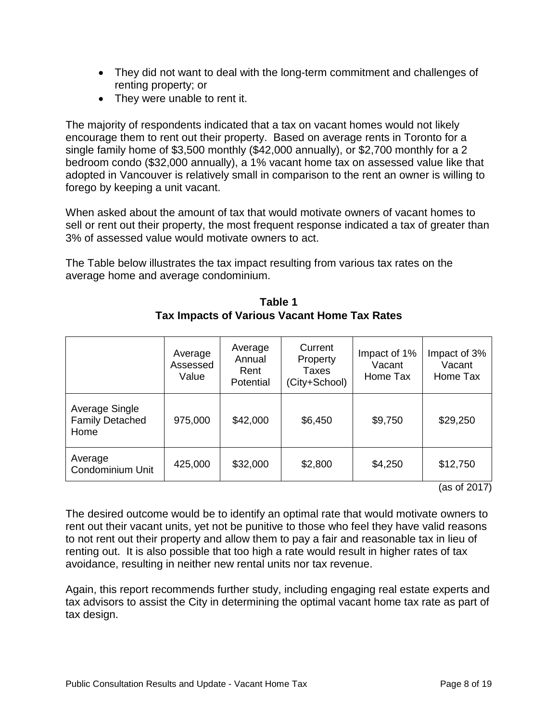- They did not want to deal with the long-term commitment and challenges of renting property; or
- They were unable to rent it.

The majority of respondents indicated that a tax on vacant homes would not likely encourage them to rent out their property. Based on average rents in Toronto for a single family home of \$3,500 monthly (\$42,000 annually), or \$2,700 monthly for a 2 bedroom condo (\$32,000 annually), a 1% vacant home tax on assessed value like that adopted in Vancouver is relatively small in comparison to the rent an owner is willing to forego by keeping a unit vacant.

When asked about the amount of tax that would motivate owners of vacant homes to sell or rent out their property, the most frequent response indicated a tax of greater than 3% of assessed value would motivate owners to act.

The Table below illustrates the tax impact resulting from various tax rates on the average home and average condominium.

|                                                  | Average<br>Assessed<br>Value | Average<br>Annual<br>Rent<br>Potential | Current<br>Property<br>Taxes<br>(City+School) | Impact of 1%<br>Vacant<br>Home Tax | Impact of 3%<br>Vacant<br>Home Tax |
|--------------------------------------------------|------------------------------|----------------------------------------|-----------------------------------------------|------------------------------------|------------------------------------|
| Average Single<br><b>Family Detached</b><br>Home | 975,000                      | \$42,000                               | \$6,450                                       | \$9,750                            | \$29,250                           |
| Average<br>Condominium Unit                      | 425,000                      | \$32,000                               | \$2,800                                       | \$4,250                            | \$12,750                           |

**Table 1 Tax Impacts of Various Vacant Home Tax Rates**

(as of 2017)

The desired outcome would be to identify an optimal rate that would motivate owners to rent out their vacant units, yet not be punitive to those who feel they have valid reasons to not rent out their property and allow them to pay a fair and reasonable tax in lieu of renting out. It is also possible that too high a rate would result in higher rates of tax avoidance, resulting in neither new rental units nor tax revenue.

Again, this report recommends further study, including engaging real estate experts and tax advisors to assist the City in determining the optimal vacant home tax rate as part of tax design.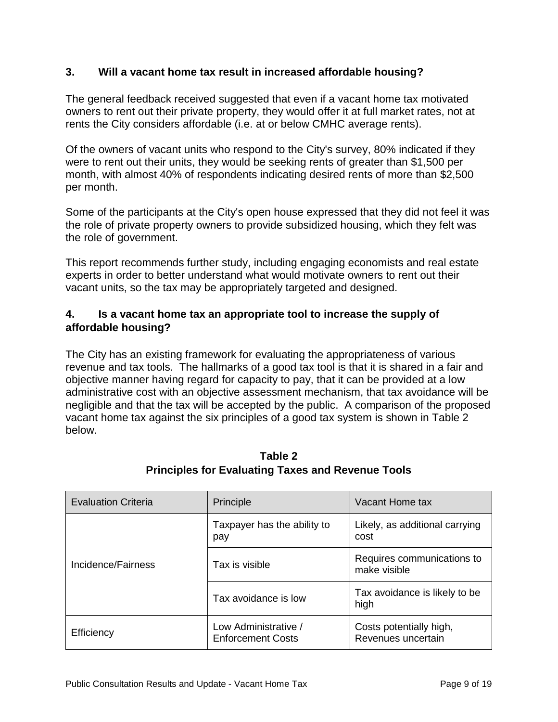#### **3. Will a vacant home tax result in increased affordable housing?**

The general feedback received suggested that even if a vacant home tax motivated owners to rent out their private property, they would offer it at full market rates, not at rents the City considers affordable (i.e. at or below CMHC average rents).

Of the owners of vacant units who respond to the City's survey, 80% indicated if they were to rent out their units, they would be seeking rents of greater than \$1,500 per month, with almost 40% of respondents indicating desired rents of more than \$2,500 per month.

Some of the participants at the City's open house expressed that they did not feel it was the role of private property owners to provide subsidized housing, which they felt was the role of government.

This report recommends further study, including engaging economists and real estate experts in order to better understand what would motivate owners to rent out their vacant units, so the tax may be appropriately targeted and designed.

# **4. Is a vacant home tax an appropriate tool to increase the supply of affordable housing?**

The City has an existing framework for evaluating the appropriateness of various revenue and tax tools. The hallmarks of a good tax tool is that it is shared in a fair and objective manner having regard for capacity to pay, that it can be provided at a low administrative cost with an objective assessment mechanism, that tax avoidance will be negligible and that the tax will be accepted by the public. A comparison of the proposed vacant home tax against the six principles of a good tax system is shown in Table 2 below.

| <b>Evaluation Criteria</b> | Principle                                        | Vacant Home tax                               |
|----------------------------|--------------------------------------------------|-----------------------------------------------|
| Incidence/Fairness         | Taxpayer has the ability to<br>pay               | Likely, as additional carrying<br>cost        |
|                            | Tax is visible                                   | Requires communications to<br>make visible    |
|                            | Tax avoidance is low                             | Tax avoidance is likely to be<br>high         |
| Efficiency                 | Low Administrative /<br><b>Enforcement Costs</b> | Costs potentially high,<br>Revenues uncertain |

# **Table 2 Principles for Evaluating Taxes and Revenue Tools**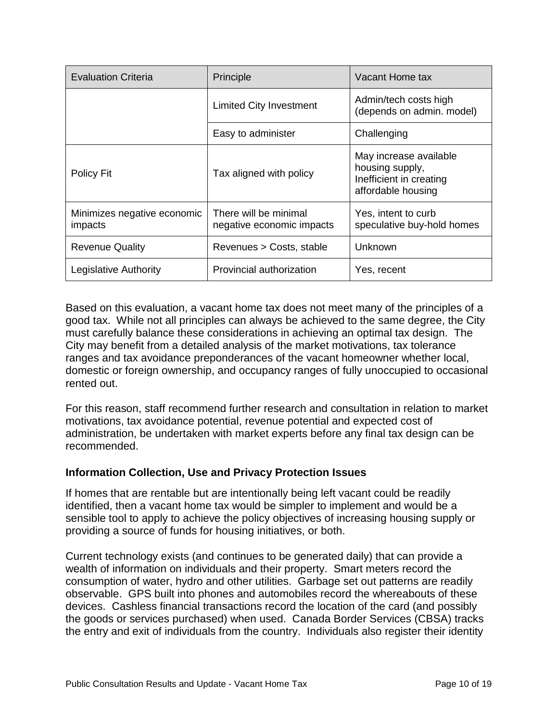| <b>Evaluation Criteria</b>             | Principle                                          | Vacant Home tax                                                                            |
|----------------------------------------|----------------------------------------------------|--------------------------------------------------------------------------------------------|
|                                        | <b>Limited City Investment</b>                     | Admin/tech costs high<br>(depends on admin. model)                                         |
|                                        | Easy to administer                                 | Challenging                                                                                |
| Policy Fit                             | Tax aligned with policy                            | May increase available<br>housing supply,<br>Inefficient in creating<br>affordable housing |
| Minimizes negative economic<br>impacts | There will be minimal<br>negative economic impacts | Yes, intent to curb<br>speculative buy-hold homes                                          |
| <b>Revenue Quality</b>                 | Revenues > Costs, stable                           | Unknown                                                                                    |
| Legislative Authority                  | Provincial authorization                           | Yes, recent                                                                                |

Based on this evaluation, a vacant home tax does not meet many of the principles of a good tax. While not all principles can always be achieved to the same degree, the City must carefully balance these considerations in achieving an optimal tax design. The City may benefit from a detailed analysis of the market motivations, tax tolerance ranges and tax avoidance preponderances of the vacant homeowner whether local, domestic or foreign ownership, and occupancy ranges of fully unoccupied to occasional rented out.

For this reason, staff recommend further research and consultation in relation to market motivations, tax avoidance potential, revenue potential and expected cost of administration, be undertaken with market experts before any final tax design can be recommended.

#### **Information Collection, Use and Privacy Protection Issues**

If homes that are rentable but are intentionally being left vacant could be readily identified, then a vacant home tax would be simpler to implement and would be a sensible tool to apply to achieve the policy objectives of increasing housing supply or providing a source of funds for housing initiatives, or both.

Current technology exists (and continues to be generated daily) that can provide a wealth of information on individuals and their property. Smart meters record the consumption of water, hydro and other utilities. Garbage set out patterns are readily observable. GPS built into phones and automobiles record the whereabouts of these devices. Cashless financial transactions record the location of the card (and possibly the goods or services purchased) when used. Canada Border Services (CBSA) tracks the entry and exit of individuals from the country. Individuals also register their identity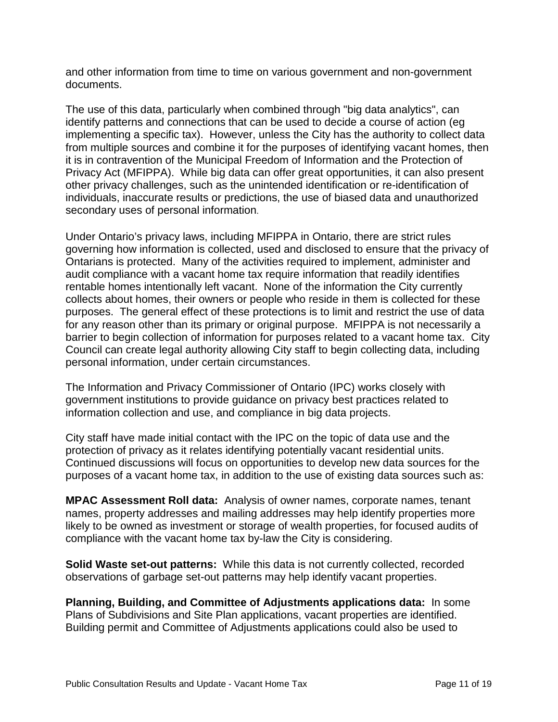and other information from time to time on various government and non-government documents.

The use of this data, particularly when combined through "big data analytics", can identify patterns and connections that can be used to decide a course of action (eg implementing a specific tax). However, unless the City has the authority to collect data from multiple sources and combine it for the purposes of identifying vacant homes, then it is in contravention of the Municipal Freedom of Information and the Protection of Privacy Act (MFIPPA). While big data can offer great opportunities, it can also present other privacy challenges, such as the unintended identification or re-identification of individuals, inaccurate results or predictions, the use of biased data and unauthorized secondary uses of personal information.

Under Ontario's [privacy laws,](https://www.ipc.on.ca/about-us/the-acts/) including MFIPPA in Ontario, there are strict rules governing how information is collected, used and disclosed to ensure that the privacy of Ontarians is protected. Many of the activities required to implement, administer and audit compliance with a vacant home tax require information that readily identifies rentable homes intentionally left vacant. None of the information the City currently collects about homes, their owners or people who reside in them is collected for these purposes. The general effect of these protections is to limit and restrict the use of data for any reason other than its primary or original purpose. MFIPPA is not necessarily a barrier to begin collection of information for purposes related to a vacant home tax. City Council can create legal authority allowing City staff to begin collecting data, including personal information, under certain circumstances.

The Information and Privacy Commissioner of Ontario (IPC) works closely with government institutions to provide guidance on privacy best practices related to information collection and use, and compliance in big data projects.

City staff have made initial contact with the IPC on the topic of data use and the protection of privacy as it relates identifying potentially vacant residential units. Continued discussions will focus on opportunities to develop new data sources for the purposes of a vacant home tax, in addition to the use of existing data sources such as:

**MPAC Assessment Roll data:** Analysis of owner names, corporate names, tenant names, property addresses and mailing addresses may help identify properties more likely to be owned as investment or storage of wealth properties, for focused audits of compliance with the vacant home tax by-law the City is considering.

**Solid Waste set-out patterns:** While this data is not currently collected, recorded observations of garbage set-out patterns may help identify vacant properties.

**Planning, Building, and Committee of Adjustments applications data:** In some Plans of Subdivisions and Site Plan applications, vacant properties are identified. Building permit and Committee of Adjustments applications could also be used to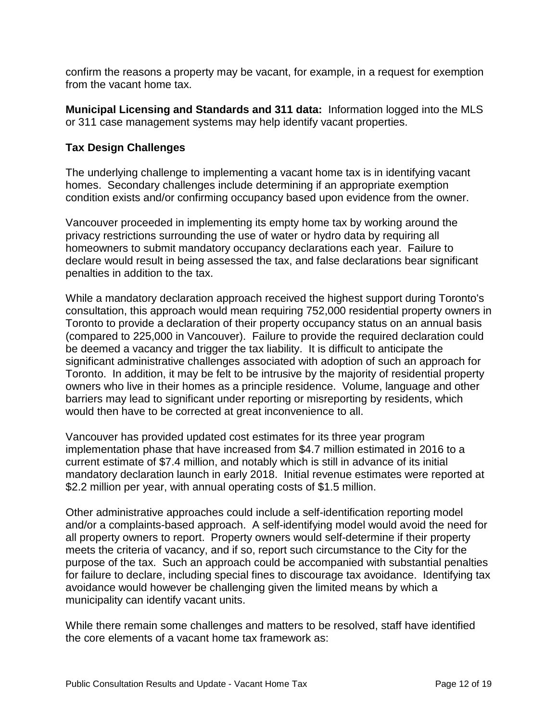confirm the reasons a property may be vacant, for example, in a request for exemption from the vacant home tax.

**Municipal Licensing and Standards and 311 data:** Information logged into the MLS or 311 case management systems may help identify vacant properties.

# **Tax Design Challenges**

The underlying challenge to implementing a vacant home tax is in identifying vacant homes. Secondary challenges include determining if an appropriate exemption condition exists and/or confirming occupancy based upon evidence from the owner.

Vancouver proceeded in implementing its empty home tax by working around the privacy restrictions surrounding the use of water or hydro data by requiring all homeowners to submit mandatory occupancy declarations each year. Failure to declare would result in being assessed the tax, and false declarations bear significant penalties in addition to the tax.

While a mandatory declaration approach received the highest support during Toronto's consultation, this approach would mean requiring 752,000 residential property owners in Toronto to provide a declaration of their property occupancy status on an annual basis (compared to 225,000 in Vancouver). Failure to provide the required declaration could be deemed a vacancy and trigger the tax liability. It is difficult to anticipate the significant administrative challenges associated with adoption of such an approach for Toronto. In addition, it may be felt to be intrusive by the majority of residential property owners who live in their homes as a principle residence. Volume, language and other barriers may lead to significant under reporting or misreporting by residents, which would then have to be corrected at great inconvenience to all.

Vancouver has provided updated cost estimates for its three year program implementation phase that have increased from \$4.7 million estimated in 2016 to a current estimate of \$7.4 million, and notably which is still in advance of its initial mandatory declaration launch in early 2018. Initial revenue estimates were reported at \$2.2 million per year, with annual operating costs of \$1.5 million.

Other administrative approaches could include a self-identification reporting model and/or a complaints-based approach. A self-identifying model would avoid the need for all property owners to report. Property owners would self-determine if their property meets the criteria of vacancy, and if so, report such circumstance to the City for the purpose of the tax. Such an approach could be accompanied with substantial penalties for failure to declare, including special fines to discourage tax avoidance. Identifying tax avoidance would however be challenging given the limited means by which a municipality can identify vacant units.

While there remain some challenges and matters to be resolved, staff have identified the core elements of a vacant home tax framework as: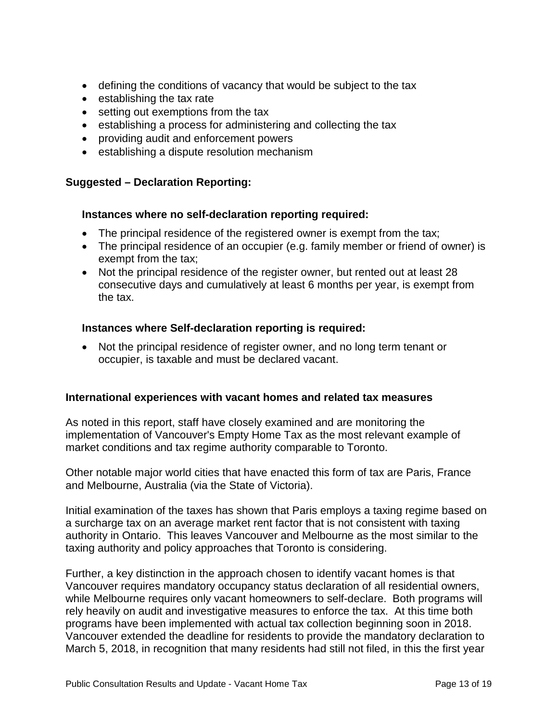- defining the conditions of vacancy that would be subject to the tax
- establishing the tax rate
- setting out exemptions from the tax
- establishing a process for administering and collecting the tax
- providing audit and enforcement powers
- establishing a dispute resolution mechanism

#### **Suggested – Declaration Reporting:**

#### **Instances where no self-declaration reporting required:**

- The principal residence of the registered owner is exempt from the tax;
- The principal residence of an occupier (e.g. family member or friend of owner) is exempt from the tax;
- Not the principal residence of the register owner, but rented out at least 28 consecutive days and cumulatively at least 6 months per year, is exempt from the tax.

#### **Instances where Self-declaration reporting is required:**

• Not the principal residence of register owner, and no long term tenant or occupier, is taxable and must be declared vacant.

#### **International experiences with vacant homes and related tax measures**

As noted in this report, staff have closely examined and are monitoring the implementation of Vancouver's Empty Home Tax as the most relevant example of market conditions and tax regime authority comparable to Toronto.

Other notable major world cities that have enacted this form of tax are Paris, France and Melbourne, Australia (via the State of Victoria).

Initial examination of the taxes has shown that Paris employs a taxing regime based on a surcharge tax on an average market rent factor that is not consistent with taxing authority in Ontario. This leaves Vancouver and Melbourne as the most similar to the taxing authority and policy approaches that Toronto is considering.

Further, a key distinction in the approach chosen to identify vacant homes is that Vancouver requires mandatory occupancy status declaration of all residential owners, while Melbourne requires only vacant homeowners to self-declare. Both programs will rely heavily on audit and investigative measures to enforce the tax. At this time both programs have been implemented with actual tax collection beginning soon in 2018. Vancouver extended the deadline for residents to provide the mandatory declaration to March 5, 2018, in recognition that many residents had still not filed, in this the first year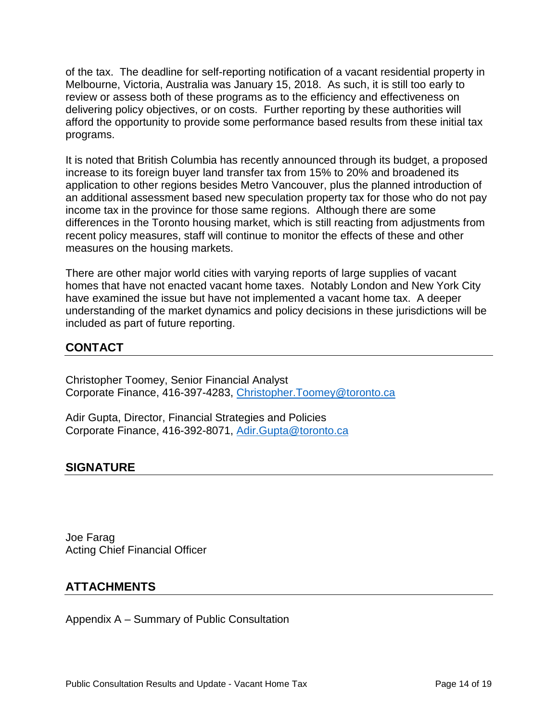of the tax. The deadline for self-reporting notification of a vacant residential property in Melbourne, Victoria, Australia was January 15, 2018. As such, it is still too early to review or assess both of these programs as to the efficiency and effectiveness on delivering policy objectives, or on costs. Further reporting by these authorities will afford the opportunity to provide some performance based results from these initial tax programs.

It is noted that British Columbia has recently announced through its budget, a proposed increase to its foreign buyer land transfer tax from 15% to 20% and broadened its application to other regions besides Metro Vancouver, plus the planned introduction of an additional assessment based new speculation property tax for those who do not pay income tax in the province for those same regions. Although there are some differences in the Toronto housing market, which is still reacting from adjustments from recent policy measures, staff will continue to monitor the effects of these and other measures on the housing markets.

There are other major world cities with varying reports of large supplies of vacant homes that have not enacted vacant home taxes. Notably London and New York City have examined the issue but have not implemented a vacant home tax. A deeper understanding of the market dynamics and policy decisions in these jurisdictions will be included as part of future reporting.

# **CONTACT**

Christopher Toomey, Senior Financial Analyst Corporate Finance, 416-397-4283, [Christopher.Toomey@toronto.ca](mailto:Christopher.Toomey@toronto.ca)

Adir Gupta, Director, Financial Strategies and Policies Corporate Finance, 416-392-8071, [Adir.Gupta@toronto.ca](mailto:Adir.Gupta@toronto.ca)

# **SIGNATURE**

Joe Farag Acting Chief Financial Officer

# **ATTACHMENTS**

Appendix A – Summary of Public Consultation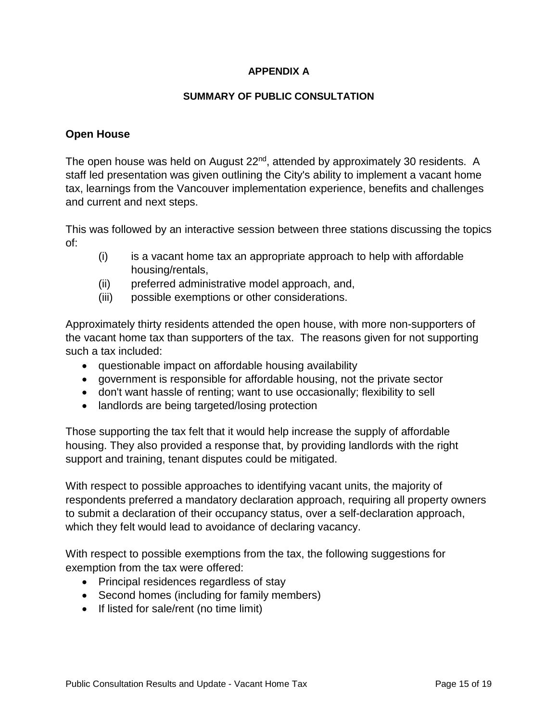#### **APPENDIX A**

#### **SUMMARY OF PUBLIC CONSULTATION**

#### **Open House**

The open house was held on August 22<sup>nd</sup>, attended by approximately 30 residents. A staff led presentation was given outlining the City's ability to implement a vacant home tax, learnings from the Vancouver implementation experience, benefits and challenges and current and next steps.

This was followed by an interactive session between three stations discussing the topics of:

- (i) is a vacant home tax an appropriate approach to help with affordable housing/rentals,
- (ii) preferred administrative model approach, and,
- (iii) possible exemptions or other considerations.

Approximately thirty residents attended the open house, with more non-supporters of the vacant home tax than supporters of the tax. The reasons given for not supporting such a tax included:

- questionable impact on affordable housing availability
- government is responsible for affordable housing, not the private sector
- don't want hassle of renting; want to use occasionally; flexibility to sell
- landlords are being targeted/losing protection

Those supporting the tax felt that it would help increase the supply of affordable housing. They also provided a response that, by providing landlords with the right support and training, tenant disputes could be mitigated.

With respect to possible approaches to identifying vacant units, the majority of respondents preferred a mandatory declaration approach, requiring all property owners to submit a declaration of their occupancy status, over a self-declaration approach, which they felt would lead to avoidance of declaring vacancy.

With respect to possible exemptions from the tax, the following suggestions for exemption from the tax were offered:

- Principal residences regardless of stay
- Second homes (including for family members)
- If listed for sale/rent (no time limit)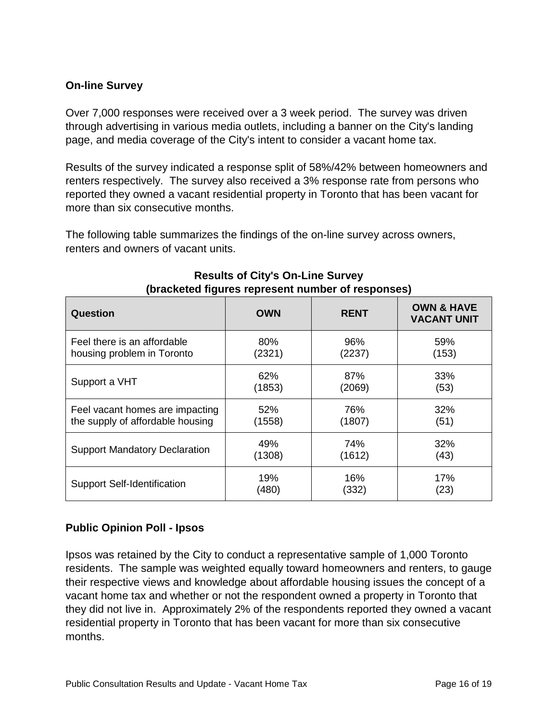# **On-line Survey**

Over 7,000 responses were received over a 3 week period. The survey was driven through advertising in various media outlets, including a banner on the City's landing page, and media coverage of the City's intent to consider a vacant home tax.

Results of the survey indicated a response split of 58%/42% between homeowners and renters respectively. The survey also received a 3% response rate from persons who reported they owned a vacant residential property in Toronto that has been vacant for more than six consecutive months.

The following table summarizes the findings of the on-line survey across owners, renters and owners of vacant units.

| ັ<br>Question                        | <b>OWN</b> | <b>RENT</b> | ,<br><b>OWN &amp; HAVE</b><br><b>VACANT UNIT</b> |
|--------------------------------------|------------|-------------|--------------------------------------------------|
| Feel there is an affordable          | 80%        | 96%         | 59%                                              |
| housing problem in Toronto           | (2321)     | (2237)      | (153)                                            |
| Support a VHT                        | 62%        | 87%         | 33%                                              |
|                                      | (1853)     | (2069)      | (53)                                             |
| Feel vacant homes are impacting      | 52%        | 76%         | 32%                                              |
| the supply of affordable housing     | (1558)     | (1807)      | (51)                                             |
| <b>Support Mandatory Declaration</b> | 49%        | 74%         | 32%                                              |
|                                      | (1308)     | (1612)      | (43)                                             |
| <b>Support Self-Identification</b>   | 19%        | 16%         | 17%                                              |
|                                      | (480)      | (332)       | (23)                                             |

#### **Results of City's On-Line Survey (bracketed figures represent number of responses)**

#### **Public Opinion Poll - Ipsos**

Ipsos was retained by the City to conduct a representative sample of 1,000 Toronto residents. The sample was weighted equally toward homeowners and renters, to gauge their respective views and knowledge about affordable housing issues the concept of a vacant home tax and whether or not the respondent owned a property in Toronto that they did not live in. Approximately 2% of the respondents reported they owned a vacant residential property in Toronto that has been vacant for more than six consecutive months.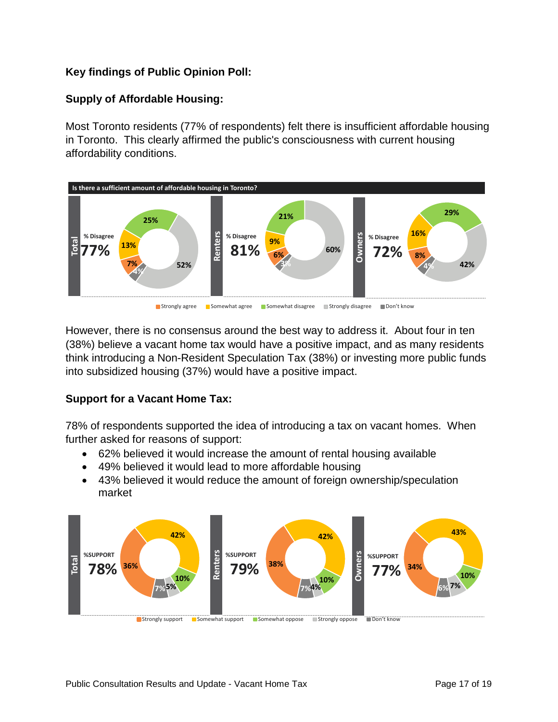# **Key findings of Public Opinion Poll:**

# **Supply of Affordable Housing:**

Most Toronto residents (77% of respondents) felt there is insufficient affordable housing in Toronto. This clearly affirmed the public's consciousness with current housing affordability conditions.



However, there is no consensus around the best way to address it. About four in ten (38%) believe a vacant home tax would have a positive impact, and as many residents think introducing a Non-Resident Speculation Tax (38%) or investing more public funds into subsidized housing (37%) would have a positive impact.

#### **Support for a Vacant Home Tax:**

78% of respondents supported the idea of introducing a tax on vacant homes. When further asked for reasons of support:

- 62% believed it would increase the amount of rental housing available
- 49% believed it would lead to more affordable housing
- 43% believed it would reduce the amount of foreign ownership/speculation market

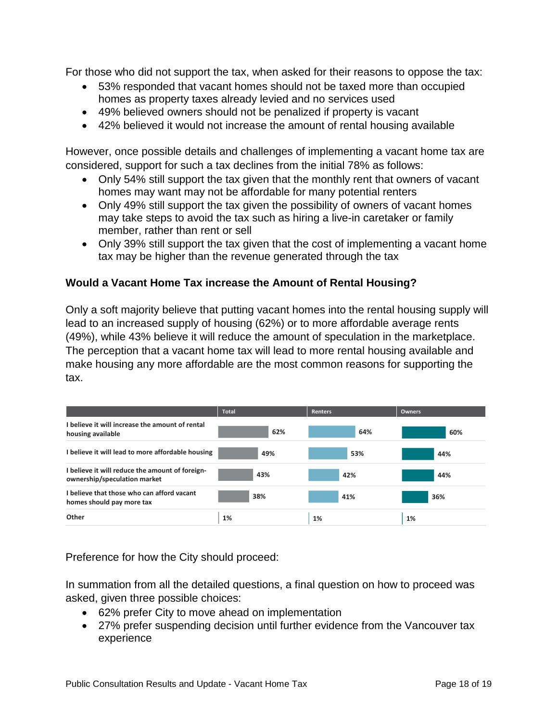For those who did not support the tax, when asked for their reasons to oppose the tax:

- 53% responded that vacant homes should not be taxed more than occupied homes as property taxes already levied and no services used
- 49% believed owners should not be penalized if property is vacant
- 42% believed it would not increase the amount of rental housing available

However, once possible details and challenges of implementing a vacant home tax are considered, support for such a tax declines from the initial 78% as follows:

- Only 54% still support the tax given that the monthly rent that owners of vacant homes may want may not be affordable for many potential renters
- Only 49% still support the tax given the possibility of owners of vacant homes may take steps to avoid the tax such as hiring a live-in caretaker or family member, rather than rent or sell
- Only 39% still support the tax given that the cost of implementing a vacant home tax may be higher than the revenue generated through the tax

# **Would a Vacant Home Tax increase the Amount of Rental Housing?**

Only a soft majority believe that putting vacant homes into the rental housing supply will lead to an increased supply of housing (62%) or to more affordable average rents (49%), while 43% believe it will reduce the amount of speculation in the marketplace. The perception that a vacant home tax will lead to more rental housing available and make housing any more affordable are the most common reasons for supporting the tax.

|                                                                                 | <b>Total</b> | <b>Renters</b> | <b>Owners</b> |
|---------------------------------------------------------------------------------|--------------|----------------|---------------|
| I believe it will increase the amount of rental<br>housing available            | 62%          | 64%            | 60%           |
| I believe it will lead to more affordable housing                               | 49%          | 53%            | 44%           |
| I believe it will reduce the amount of foreign-<br>ownership/speculation market | 43%          | 42%            | 44%           |
| I believe that those who can afford vacant<br>homes should pay more tax         | 38%          | 41%            | 36%           |
| Other                                                                           | 1%           | 1%             | 1%            |

Preference for how the City should proceed:

In summation from all the detailed questions, a final question on how to proceed was asked, given three possible choices:

- 62% prefer City to move ahead on implementation
- 27% prefer suspending decision until further evidence from the Vancouver tax experience